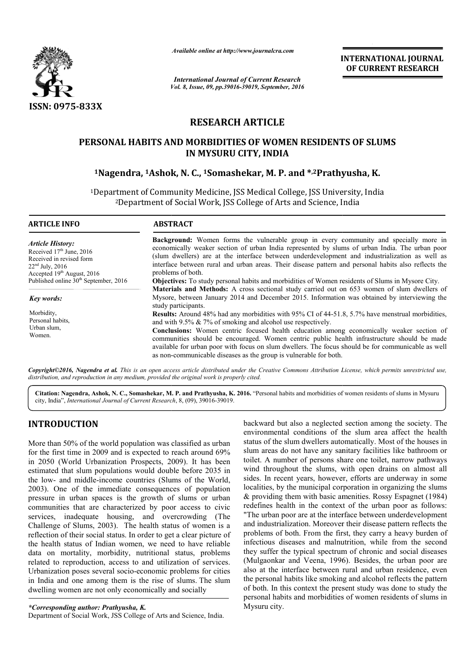

*Available online at http://www.journalcra.com*

*Vol. 8, Issue, 09, pp.39016-39019, September, 2016 International Journal of Current Research*

INTERNATIONAL JOURNAL OF CURRENT RESEARCH

# RESEARCH ARTICLE

## PERSONAL HABITS AND MORBIDITIES OF WOMEN RESIDENTS OF SLUMS IN MYSURU CITY, INDIA

## <sup>1</sup>Nagendra, <sup>1</sup>Ashok, N. C., <sup>1</sup>Somashekar, M. P. and \*<sup>,2</sup>Prathyusha, K.

<sup>1</sup>Department of Community Medicine, JSS Medical College, JSS University, India <sup>2</sup>Department of Social Work, JSS College of Arts and Science, India<br>————————————————————

| <b>ARTICLE INFO</b>                                                                                                             | <b>ABSTRACT</b>                                                                                                                                                                                                                                                                                                                                                                                                                                                                                                                                          |  |
|---------------------------------------------------------------------------------------------------------------------------------|----------------------------------------------------------------------------------------------------------------------------------------------------------------------------------------------------------------------------------------------------------------------------------------------------------------------------------------------------------------------------------------------------------------------------------------------------------------------------------------------------------------------------------------------------------|--|
| Article History:<br>Received $17th$ June, 2016<br>Received in revised form<br>$22nd$ July, 2016<br>Accepted $19th$ August, 2016 | <b>Background:</b> Women forms the vulnerable group in every community and specially more in<br>economically weaker section of urban India represented by slums of urban India. The urban poor<br>(slum dwellers) are at the interface between underdevelopment and industrialization as well as<br>interface between rural and urban areas. Their disease pattern and personal habits also reflects the<br>problems of both.                                                                                                                            |  |
| Published online $30th$ September, 2016                                                                                         | <b>Objectives:</b> To study personal habits and morbidities of Women residents of Slums in Mysore City.                                                                                                                                                                                                                                                                                                                                                                                                                                                  |  |
| <b>Key words:</b>                                                                                                               | Materials and Methods: A cross sectional study carried out on 653 women of slum dwellers of<br>Mysore, between January 2014 and December 2015. Information was obtained by interviewing the<br>study participants.                                                                                                                                                                                                                                                                                                                                       |  |
| Morbidity,<br>Personal habits.<br>Urban slum,<br>Women.                                                                         | <b>Results:</b> Around 48% had any morbidities with 95% CI of 44-51.8, 5.7% have menstrual morbidities,<br>and with $9.5\% \& 7\%$ of smoking and alcohol use respectively.<br><b>Conclusions:</b> Women centric focused health education among economically weaker section of<br>communities should be encouraged. Women centric public health infrastructure should be made<br>available for urban poor with focus on slum dwellers. The focus should be for communicable as well<br>as non-communicable diseases as the group is vulnerable for both. |  |

*Copyright©2016, Nagendra et al. This is an open access article distributed under the Creative Commons Att Attribution License, which ribution permits unrestricted use, distribution, and reproduction in any medium, provided the original work is properly cited.*

Citation: Nagendra, Ashok, N. C., Somashekar, M. P. and Prathyusha, K. 2016. "Personal habits and morbidities of women residents of slums in Mysuru city, India", *International Journal of Current Research* , 8, (09), 39016-39019.

## INTRODUCTION

More than 50% of the world population was classified as urban for the first time in 2009 and is expected to reach around 69% in 2050 (World Urbanization Prospects, 2009). It has been estimated that slum populations would double before 2035 in the low- and middle-income countries (Slums of the World, 2003). One of the immediate consequences of population pressure in urban spaces is the growth of slums or urban communities that are characterized by poor access to civic services, inadequate housing, and overcrowding (The Challenge of Slums, 2003). The health status of women is a reflection of their social status. In order to get a clear picture of the health status of Indian women, we need to have reliable data on mortality, morbidity, nutritional status, problems related to reproduction, access to and utilization of services. Urbanization poses several socio-economic problems for cities Urbanization poses several socio-economic problems for cities<br>in India and one among them is the rise of slums. The slum dwelling women are not only economically and socially One of the immediate consequences of population<br>in in urban spaces is the growth of slums or urban<br>inunities that are characterized by poor access to civic<br>es, inadequate housing, and overcrowding (The

*\*Corresponding author: Prathyusha, K.*

Department of Social Work, JSS College of Arts and Science, India.

backward but also a neglected section among the society. The environmental conditions of the slum area affect the health status of the slum dwellers automatically. Most of the houses in slum areas do not have any sanitary facilities like bathroom or toilet. A number of persons share one toilet, narrow pathways wind throughout the slums, with open drains on almost all sides. In recent years, however, efforts are underway in some localities, by the municipal corporation in organizing the slums & providing them with basic amenities. Rossy Espagnet (1984) redefines health in the context of the urban poor as follows: "The urban poor are at the interface between underdevelopment and industrialization. Moreover their disease pattern reflects the problems of both. From the first, they carry a heavy burden of infectious diseases and malnutrition, while from the second they suffer the typical spectrum of chronic and social diseases (Mulgaonkar and Veena, 1996). Besides, the urban poor are also at the interface between rural and urban residence, even the personal habits like smoking and alcohol reflects the pattern of both. In this context the present study was done to study the personal habits and morbidities of women resi Mysuru city. but also a neglected section among the society. The ntal conditions of the slum area affect the health he slum dwellers automatically. Most of the houses in slum areas do not have any sanitary facilities like bathroom or toilet. A number of persons share one toilet, narrow pathways wind throughout the slums, with open drains on almost all sides. In recent years, however, effor ines health in the context of the urban poor as follows:<br>urban poor are at the interface between underdevelopment<br>ndustrialization. Moreover their disease pattern reflects the of both. From the first, they carry a heavy burden of diseases and malnutrition, while from the second the typical spectrum of chronic and social diseases are and Veena, 1996). Besides, the urban poor are the interface between rural and urban residence, even<br>onal habits like smoking and alcohol reflects the pattern<br>In this context the present study was done to study the<br>I habits and morbidities of women residents of slums i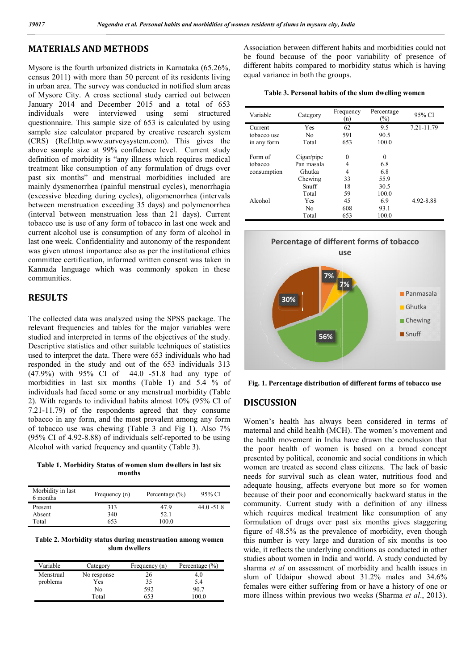## MATERIALS AND METHODS

Mysore is the fourth urbanized districts in Karnataka (65.26%, census 2011) with more than 50 percent of its residents living in urban area. The survey was conducted in notified slum areas of Mysore City. A cross sectional study carried out between January 2014 and December 2015 and a total of 653 individuals were interviewed using semi structured questionnaire. This sample size of 653 is calculated by using sample size calculator prepared by creative research system (CRS) (Ref.http.www.surveysystem.com). This gives the above sample size at 99% confidence level. Current study definition of morbidity is "any illness which requires medical treatment like consumption of any formulation of drugs over past six months" and menstrual morbidities included are mainly dysmenorrhea (painful menstrual cycles), menorrhagia (excessive bleeding during cycles), oligomenorrhea (intervals between menstruation exceeding 35 days) and polymenorrhea (interval between menstruation less than 21 days). Current tobacco use is use of any form of tobacco in last one week and current alcohol use is consumption of any form of alcohol in last one week. Confidentiality and autonomy of the respondent was given utmost importance also as per the institutional ethics committee certification, informed written consent was taken in Kannada language which was commonly spoken in these communities.

### RESULTS

The collected data was analyzed using the SPSS package. The relevant frequencies and tables for the major variables were studied and interpreted in terms of the objectives of the study. Descriptive statistics and other suitable techniques of statistics used to interpret the data. There were 653 individuals who had responded in the study and out of the 653 individuals 313 (47.9%) with 95% CI of 44.0 -51.8 had any type of morbidities in last six months (Table 1) and 5.4 % of individuals had faced some or any menstrual morbidity (Table 2). With regards to individual habits almost 10% (95% CI of 7.21-11.79) of the respondents agreed that they consume tobacco in any form, and the most prevalent among any form of tobacco use was chewing (Table 3 and Fig 1). Also  $(95\% \text{ CI of } 4.92 - 8.88)$  of individuals self-reported to be using Alcohol with varied frequency and quantity (Table 3). inly dysmenorrhea (painful menstrual cycles), menorrhagia<br>cessive bleeding during cycles), oligomenorrhea (intervals<br>ween menstruation exceeding 35 days) and polymenorrhea<br>erval between menstruation less than 21 days). Cur

Table 1. Morbidity Status of women slum dwellers in last six months

| Morbidity in last<br>6 months | Frequency (n) | Percentage $(\% )$ | 95% CI        |
|-------------------------------|---------------|--------------------|---------------|
| Present                       | 313           | 47.9               | $44.0 - 51.8$ |
| Absent                        | 340           | 52.1               |               |
| Total                         | 653           | 100.0              |               |

Table 2. Morbidity status during menstruation among women slum dwellers

| Variable  | Category    | Frequency (n) | Percentage $(\% )$ |
|-----------|-------------|---------------|--------------------|
| Menstrual | No response | 26            | 4.0                |
| problems  | Yes         | 35            | 5.4                |
|           | No          | 592           | 90.7               |
|           | Total       | 653           | 100.0              |

Association between different habits and morbidities could not be found because of the poor variability of presence of different habits compared to morbidity status which is having equal variance in both the groups. und because of the poor variability of prent habits compared to morbidity status which variance in both the groups.

| Table 3. Personal habits of the slum dwelling women |  |  |  |  |
|-----------------------------------------------------|--|--|--|--|
|-----------------------------------------------------|--|--|--|--|

| Variable    | Category   | Frequency<br>(n) | Percentage<br>$(\%)$ | 95% CI     |
|-------------|------------|------------------|----------------------|------------|
| Current     | Yes        | 62               | 9.5                  | 7.21-11.79 |
| tobacco use | No         | 591              | 90.5                 |            |
| in any form | Total      | 653              | 100.0                |            |
| Form of     | Cigar/pipe | $\theta$         | $\theta$             |            |
| tobacco     | Pan masala | 4                | 6.8                  |            |
| consumption | Ghutka     | 4                | 6.8                  |            |
|             | Chewing    | 33               | 55.9                 |            |
|             | Snuff      | 18               | 30.5                 |            |
|             | Total      | 59               | 100.0                |            |
| Alcohol     | Yes        | 45               | 6.9                  | 4.92-8.88  |
|             | No         | 608              | 93.1                 |            |
|             | Total      | 653              | 100.0                |            |



Fig. 1. Percentage distribution of different forms of tobacco use

### DISCUSSION

Women's health has always been considered in terms of maternal and child health (MCH). The women's movement and the health movement in India have drawn the conclusion that the poor health of women is based on a broad concept presented by political, economic and social conditions in which women are treated as second class citizens. The lack of basic needs for survival such as clean water, nutritious food and adequate housing, affects everyone but more so for women because of their poor and economically backward status in the community. Current study with a definition of any illness which requires medical treatment like consumption of any formulation of drugs over past six months gives staggering figure of 48.5% as the prevalence of morbidity, even though this number is very large and duration of six months is too wide, it reflects the underlying conditions as conducted in other studies about women in India and world. A study conducted by sharma *et al* on assessment of morbidity and health issues in slum of Udaipur showed about 31.2% males and 34.6% females were either suffering from or have a history of one or more illness within previous two weeks (Sharma et al., 2013). Women's health has always been considered in terms of maternal and child health (MCH). The women's movement and the health movement in India have drawn the conclusion that the poor health of women is based on a broad conce e treated as second class citizens. The lack of basic<br>survival such as clean water, nutritious food and<br>housing, affects everyone but more so for women<br>f their poor and economically backward status in the mmunity. Current study with a definition of any illness<br>ich requires medical treatment like consumption of any<br>mulation of drugs over past six months gives staggering<br>ure of 48.5% as the prevalence of morbidity, even thoug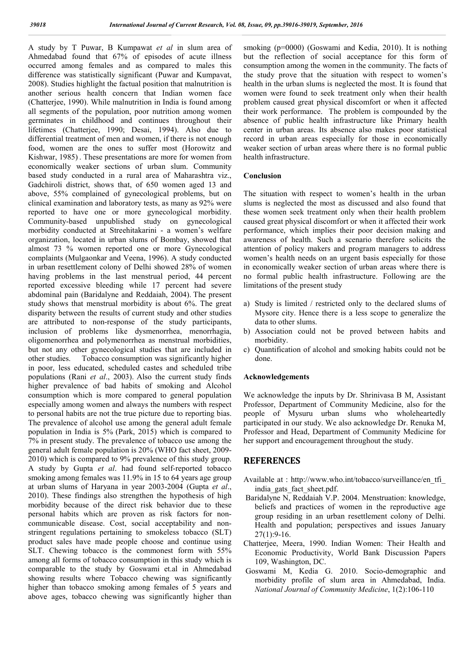A study by T Puwar, B Kumpawat *et al* in slum area of Ahmedabad found that 67% of episodes of acute illness occurred among females and as compared to males this difference was statistically significant (Puwar and Kumpavat, 2008). Studies highlight the factual position that malnutrition is another serious health concern that Indian women face (Chatterjee, 1990). While malnutrition in India is found among all segments of the population, poor nutrition among women germinates in childhood and continues throughout their lifetimes (Chatterjee, 1990; Desai, 1994). Also due to differential treatment of men and women, if there is not enough food, women are the ones to suffer most (Horowitz and Kishwar, 1985) . These presentations are more for women from economically weaker sections of urban slum. Community based study conducted in a rural area of Maharashtra viz., Gadchiroli district, shows that, of 650 women aged 13 and above, 55% complained of gynecological problems, but on clinical examination and laboratory tests, as many as 92% were reported to have one or more gynecological morbidity. Community-based unpublished study on gynecological morbidity conducted at Streehitakarini - a women's welfare organization, located in urban slums of Bombay, showed that almost 73 % women reported one or more Gynecological complaints (Mulgaonkar and Veena, 1996). A study conducted in urban resettlement colony of Delhi showed 28% of women having problems in the last menstrual period, 44 percent reported excessive bleeding while 17 percent had severe abdominal pain (Baridalyne and Reddaiah, 2004). The present study shows that menstrual morbidity is about 6%. The great disparity between the results of current study and other studies are attributed to non-response of the study participants, inclusion of problems like dysmenorrhea, menorrhagia, oligomenorrhea and polymenorrhea as menstrual morbidities, but not any other gynecological studies that are included in other studies. Tobacco consumption was significantly higher in poor, less educated, scheduled castes and scheduled tribe populations (Rani *et al*., 2003). Also the current study finds higher prevalence of bad habits of smoking and Alcohol consumption which is more compared to general population especially among women and always the numbers with respect to personal habits are not the true picture due to reporting bias. The prevalence of alcohol use among the general adult female population in India is 5% (Park, 2015) which is compared to 7% in present study. The prevalence of tobacco use among the general adult female population is 20% (WHO fact sheet, 2009- 2010) which is compared to 9% prevalence of this study group. A study by Gupta *et al*. had found self-reported tobacco smoking among females was 11.9% in 15 to 64 years age group at urban slums of Haryana in year 2003-2004 (Gupta *et al*., 2010). These findings also strengthen the hypothesis of high morbidity because of the direct risk behavior due to these personal habits which are proven as risk factors for noncommunicable disease. Cost, social acceptability and nonstringent regulations pertaining to smokeless tobacco (SLT) product sales have made people choose and continue using SLT. Chewing tobacco is the commonest form with 55% among all forms of tobacco consumption in this study which is comparable to the study by Goswami et.al in Ahmedabad showing results where Tobacco chewing was significantly higher than tobacco smoking among females of 5 years and above ages, tobacco chewing was significantly higher than

smoking (p=0000) (Goswami and Kedia, 2010). It is nothing but the reflection of social acceptance for this form of consumption among the women in the community. The facts of the study prove that the situation with respect to women's health in the urban slums is neglected the most. It is found that women were found to seek treatment only when their health problem caused great physical discomfort or when it affected their work performance. The problem is compounded by the absence of public health infrastructure like Primary health center in urban areas. Its absence also makes poor statistical record in urban areas especially for those in economically weaker section of urban areas where there is no formal public health infrastructure.

#### Conclusion

The situation with respect to women's health in the urban slums is neglected the most as discussed and also found that these women seek treatment only when their health problem caused great physical discomfort or when it affected their work performance, which implies their poor decision making and awareness of health. Such a scenario therefore solicits the attention of policy makers and program managers to address women's health needs on an urgent basis especially for those in economically weaker section of urban areas where there is no formal public health infrastructure. Following are the limitations of the present study

- a) Study is limited / restricted only to the declared slums of Mysore city. Hence there is a less scope to generalize the data to other slums.
- b) Association could not be proved between habits and morbidity.
- c) Quantification of alcohol and smoking habits could not be done.

#### Acknowledgements

We acknowledge the inputs by Dr. Shrinivasa B M, Assistant Professor, Department of Community Medicine, also for the people of Mysuru urban slums who wholeheartedly participated in our study. We also acknowledge Dr. Renuka M, Professor and Head, Department of Community Medicine for her support and encouragement throughout the study.

#### **REFERENCES**

- Available at : http://www.who.int/tobacco/surveillance/en\_tfi\_ india\_gats\_fact\_sheet.pdf.
- Baridalyne N, Reddaiah V.P. 2004. Menstruation: knowledge, beliefs and practices of women in the reproductive age group residing in an urban resettlement colony of Delhi. Health and population; perspectives and issues January 27(1):9-16.
- Chatterjee, Meera, 1990. Indian Women: Their Health and Economic Productivity, World Bank Discussion Papers 109, Washington, DC.
- Goswami M, Kedia G. 2010. Socio-demographic and morbidity profile of slum area in Ahmedabad, India. *National Journal of Community Medicine*, 1(2):106-110